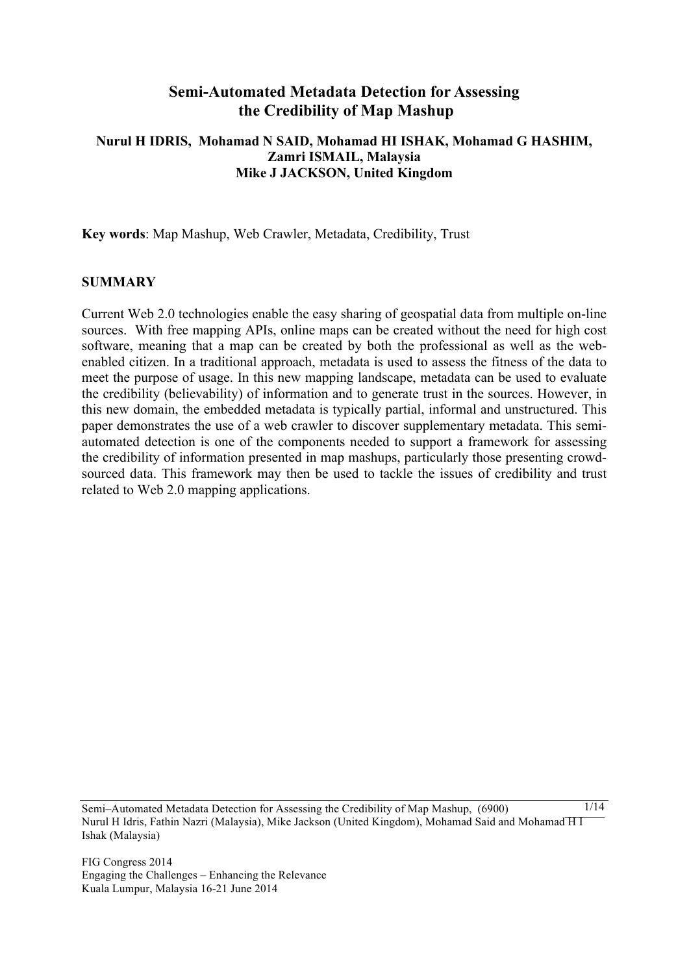# **Semi-Automated Metadata Detection for Assessing the Credibility of Map Mashup**

# **Nurul H IDRIS, Mohamad N SAID, Mohamad HI ISHAK, Mohamad G HASHIM, Zamri ISMAIL, Malaysia Mike J JACKSON, United Kingdom**

**Key words**: Map Mashup, Web Crawler, Metadata, Credibility, Trust

### **SUMMARY**

Current Web 2.0 technologies enable the easy sharing of geospatial data from multiple on-line sources. With free mapping APIs, online maps can be created without the need for high cost software, meaning that a map can be created by both the professional as well as the webenabled citizen. In a traditional approach, metadata is used to assess the fitness of the data to meet the purpose of usage. In this new mapping landscape, metadata can be used to evaluate the credibility (believability) of information and to generate trust in the sources. However, in this new domain, the embedded metadata is typically partial, informal and unstructured. This paper demonstrates the use of a web crawler to discover supplementary metadata. This semiautomated detection is one of the components needed to support a framework for assessing the credibility of information presented in map mashups, particularly those presenting crowdsourced data. This framework may then be used to tackle the issues of credibility and trust related to Web 2.0 mapping applications.

Semi–Automated Metadata Detection for Assessing the Credibility of Map Mashup, (6900) Nurul H Idris, Fathin Nazri (Malaysia), Mike Jackson (United Kingdom), Mohamad Said and Mohamad H I Ishak (Malaysia)  $1/14$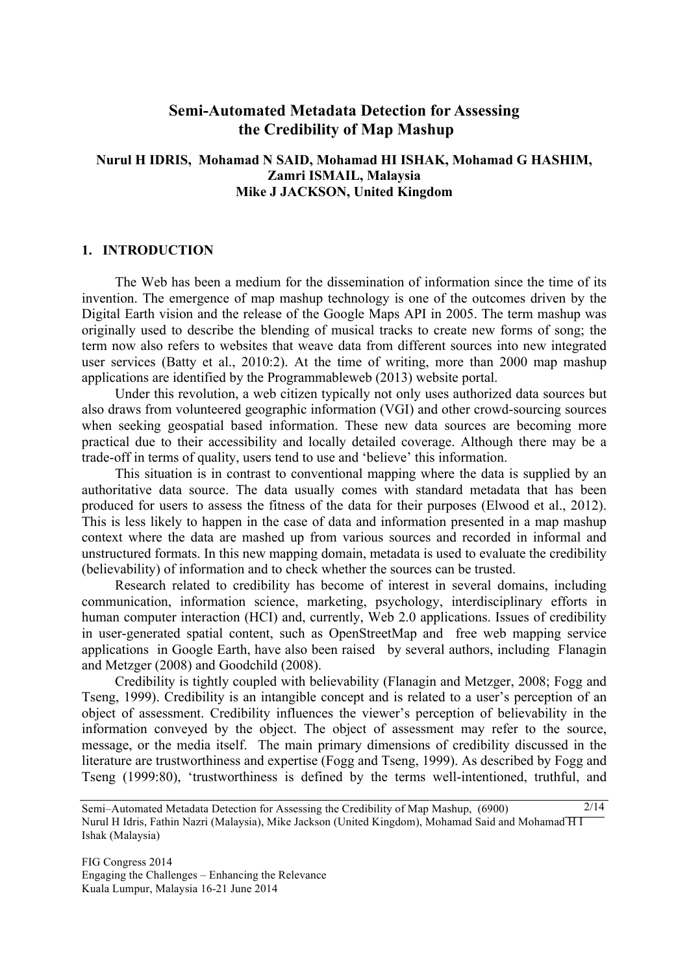# **Semi-Automated Metadata Detection for Assessing the Credibility of Map Mashup**

## **Nurul H IDRIS, Mohamad N SAID, Mohamad HI ISHAK, Mohamad G HASHIM, Zamri ISMAIL, Malaysia Mike J JACKSON, United Kingdom**

#### **1. INTRODUCTION**

The Web has been a medium for the dissemination of information since the time of its invention. The emergence of map mashup technology is one of the outcomes driven by the Digital Earth vision and the release of the Google Maps API in 2005. The term mashup was originally used to describe the blending of musical tracks to create new forms of song; the term now also refers to websites that weave data from different sources into new integrated user services (Batty et al., 2010:2). At the time of writing, more than 2000 map mashup applications are identified by the Programmableweb (2013) website portal.

Under this revolution, a web citizen typically not only uses authorized data sources but also draws from volunteered geographic information (VGI) and other crowd-sourcing sources when seeking geospatial based information. These new data sources are becoming more practical due to their accessibility and locally detailed coverage. Although there may be a trade-off in terms of quality, users tend to use and 'believe' this information.

This situation is in contrast to conventional mapping where the data is supplied by an authoritative data source. The data usually comes with standard metadata that has been produced for users to assess the fitness of the data for their purposes (Elwood et al., 2012). This is less likely to happen in the case of data and information presented in a map mashup context where the data are mashed up from various sources and recorded in informal and unstructured formats. In this new mapping domain, metadata is used to evaluate the credibility (believability) of information and to check whether the sources can be trusted.

Research related to credibility has become of interest in several domains, including communication, information science, marketing, psychology, interdisciplinary efforts in human computer interaction (HCI) and, currently, Web 2.0 applications. Issues of credibility in user-generated spatial content, such as OpenStreetMap and free web mapping service applications in Google Earth, have also been raised by several authors, including Flanagin and Metzger (2008) and Goodchild (2008).

Credibility is tightly coupled with believability (Flanagin and Metzger, 2008; Fogg and Tseng, 1999). Credibility is an intangible concept and is related to a user's perception of an object of assessment. Credibility influences the viewer's perception of believability in the information conveyed by the object. The object of assessment may refer to the source, message, or the media itself. The main primary dimensions of credibility discussed in the literature are trustworthiness and expertise (Fogg and Tseng, 1999). As described by Fogg and Tseng (1999:80), 'trustworthiness is defined by the terms well-intentioned, truthful, and

Semi–Automated Metadata Detection for Assessing the Credibility of Map Mashup, (6900) Nurul H Idris, Fathin Nazri (Malaysia), Mike Jackson (United Kingdom), Mohamad Said and Mohamad H I Ishak (Malaysia)  $2/14$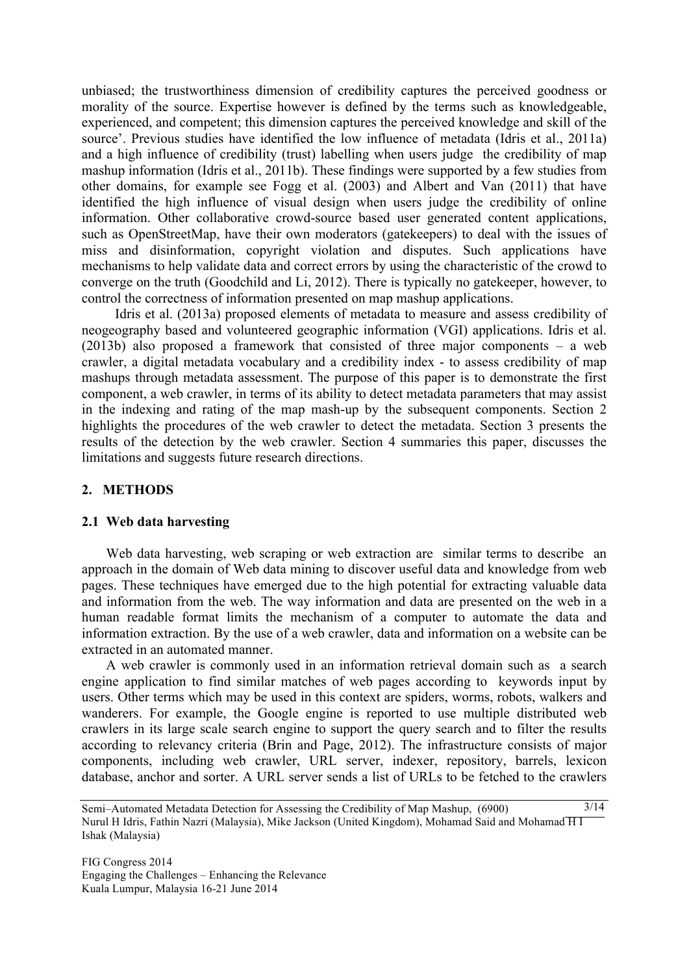unbiased; the trustworthiness dimension of credibility captures the perceived goodness or morality of the source. Expertise however is defined by the terms such as knowledgeable, experienced, and competent; this dimension captures the perceived knowledge and skill of the source'. Previous studies have identified the low influence of metadata (Idris et al., 2011a) and a high influence of credibility (trust) labelling when users judge the credibility of map mashup information (Idris et al., 2011b). These findings were supported by a few studies from other domains, for example see Fogg et al. (2003) and Albert and Van (2011) that have identified the high influence of visual design when users judge the credibility of online information. Other collaborative crowd-source based user generated content applications, such as OpenStreetMap, have their own moderators (gatekeepers) to deal with the issues of miss and disinformation, copyright violation and disputes. Such applications have mechanisms to help validate data and correct errors by using the characteristic of the crowd to converge on the truth (Goodchild and Li, 2012). There is typically no gatekeeper, however, to control the correctness of information presented on map mashup applications.

Idris et al. (2013a) proposed elements of metadata to measure and assess credibility of neogeography based and volunteered geographic information (VGI) applications. Idris et al. (2013b) also proposed a framework that consisted of three major components – a web crawler, a digital metadata vocabulary and a credibility index - to assess credibility of map mashups through metadata assessment. The purpose of this paper is to demonstrate the first component, a web crawler, in terms of its ability to detect metadata parameters that may assist in the indexing and rating of the map mash-up by the subsequent components. Section 2 highlights the procedures of the web crawler to detect the metadata. Section 3 presents the results of the detection by the web crawler. Section 4 summaries this paper, discusses the limitations and suggests future research directions.

# **2. METHODS**

### **2.1 Web data harvesting**

Web data harvesting, web scraping or web extraction are similar terms to describe an approach in the domain of Web data mining to discover useful data and knowledge from web pages. These techniques have emerged due to the high potential for extracting valuable data and information from the web. The way information and data are presented on the web in a human readable format limits the mechanism of a computer to automate the data and information extraction. By the use of a web crawler, data and information on a website can be extracted in an automated manner.

A web crawler is commonly used in an information retrieval domain such as a search engine application to find similar matches of web pages according to keywords input by users. Other terms which may be used in this context are spiders, worms, robots, walkers and wanderers. For example, the Google engine is reported to use multiple distributed web crawlers in its large scale search engine to support the query search and to filter the results according to relevancy criteria (Brin and Page, 2012). The infrastructure consists of major components, including web crawler, URL server, indexer, repository, barrels, lexicon database, anchor and sorter. A URL server sends a list of URLs to be fetched to the crawlers

Semi–Automated Metadata Detection for Assessing the Credibility of Map Mashup, (6900) Nurul H Idris, Fathin Nazri (Malaysia), Mike Jackson (United Kingdom), Mohamad Said and Mohamad H I Ishak (Malaysia)  $3/14$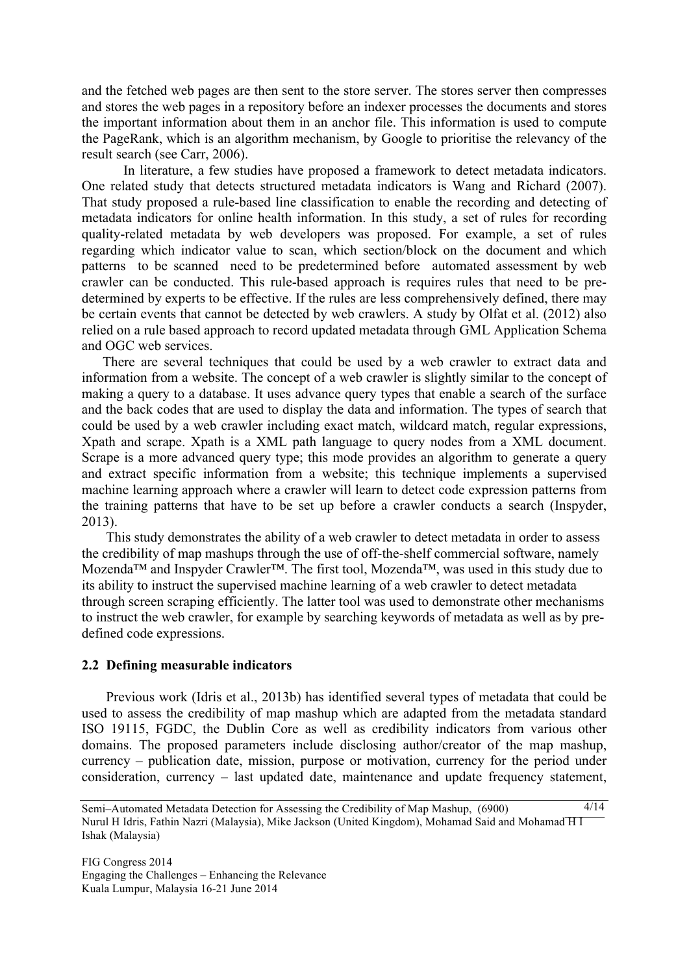and the fetched web pages are then sent to the store server. The stores server then compresses and stores the web pages in a repository before an indexer processes the documents and stores the important information about them in an anchor file. This information is used to compute the PageRank, which is an algorithm mechanism, by Google to prioritise the relevancy of the result search (see Carr, 2006).

In literature, a few studies have proposed a framework to detect metadata indicators. One related study that detects structured metadata indicators is Wang and Richard (2007). That study proposed a rule-based line classification to enable the recording and detecting of metadata indicators for online health information. In this study, a set of rules for recording quality-related metadata by web developers was proposed. For example, a set of rules regarding which indicator value to scan, which section/block on the document and which patterns to be scanned need to be predetermined before automated assessment by web crawler can be conducted. This rule-based approach is requires rules that need to be predetermined by experts to be effective. If the rules are less comprehensively defined, there may be certain events that cannot be detected by web crawlers. A study by Olfat et al. (2012) also relied on a rule based approach to record updated metadata through GML Application Schema and OGC web services.

There are several techniques that could be used by a web crawler to extract data and information from a website. The concept of a web crawler is slightly similar to the concept of making a query to a database. It uses advance query types that enable a search of the surface and the back codes that are used to display the data and information. The types of search that could be used by a web crawler including exact match, wildcard match, regular expressions, Xpath and scrape. Xpath is a XML path language to query nodes from a XML document. Scrape is a more advanced query type; this mode provides an algorithm to generate a query and extract specific information from a website; this technique implements a supervised machine learning approach where a crawler will learn to detect code expression patterns from the training patterns that have to be set up before a crawler conducts a search (Inspyder, 2013).

This study demonstrates the ability of a web crawler to detect metadata in order to assess the credibility of map mashups through the use of off-the-shelf commercial software, namely Mozenda™ and Inspyder Crawler™. The first tool, Mozenda™, was used in this study due to its ability to instruct the supervised machine learning of a web crawler to detect metadata through screen scraping efficiently. The latter tool was used to demonstrate other mechanisms to instruct the web crawler, for example by searching keywords of metadata as well as by predefined code expressions.

#### **2.2 Defining measurable indicators**

Previous work (Idris et al., 2013b) has identified several types of metadata that could be used to assess the credibility of map mashup which are adapted from the metadata standard ISO 19115, FGDC, the Dublin Core as well as credibility indicators from various other domains. The proposed parameters include disclosing author/creator of the map mashup, currency – publication date, mission, purpose or motivation, currency for the period under consideration, currency – last updated date, maintenance and update frequency statement,

Semi–Automated Metadata Detection for Assessing the Credibility of Map Mashup, (6900) Nurul H Idris, Fathin Nazri (Malaysia), Mike Jackson (United Kingdom), Mohamad Said and Mohamad H I Ishak (Malaysia) 4/14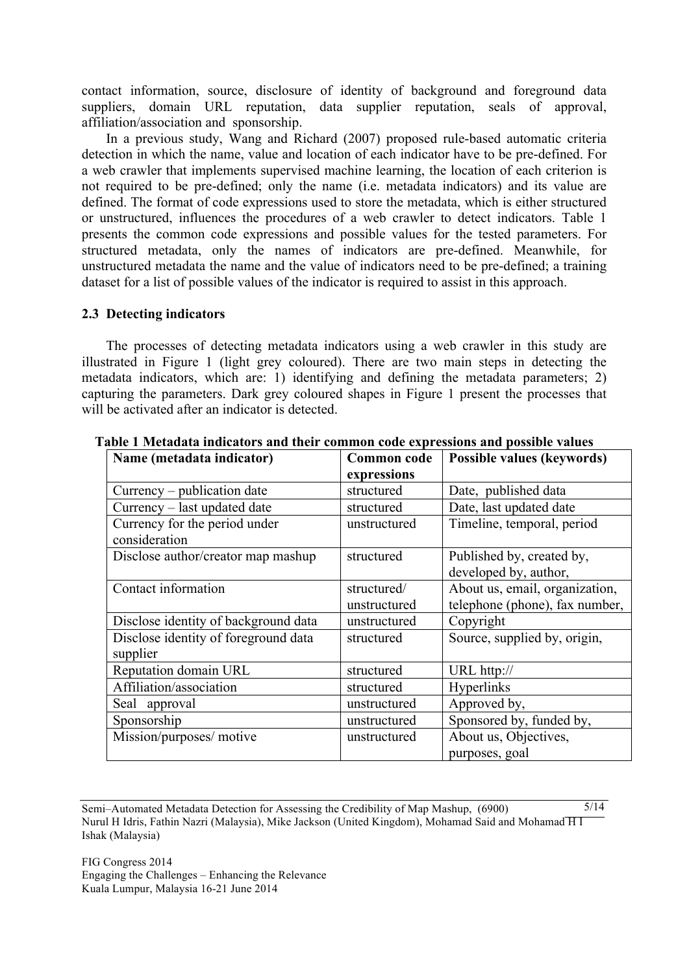contact information, source, disclosure of identity of background and foreground data suppliers, domain URL reputation, data supplier reputation, seals of approval, affiliation/association and sponsorship.

In a previous study, Wang and Richard (2007) proposed rule-based automatic criteria detection in which the name, value and location of each indicator have to be pre-defined. For a web crawler that implements supervised machine learning, the location of each criterion is not required to be pre-defined; only the name (i.e. metadata indicators) and its value are defined. The format of code expressions used to store the metadata, which is either structured or unstructured, influences the procedures of a web crawler to detect indicators. Table 1 presents the common code expressions and possible values for the tested parameters. For structured metadata, only the names of indicators are pre-defined. Meanwhile, for unstructured metadata the name and the value of indicators need to be pre-defined; a training dataset for a list of possible values of the indicator is required to assist in this approach.

### **2.3 Detecting indicators**

The processes of detecting metadata indicators using a web crawler in this study are illustrated in Figure 1 (light grey coloured). There are two main steps in detecting the metadata indicators, which are: 1) identifying and defining the metadata parameters; 2) capturing the parameters. Dark grey coloured shapes in Figure 1 present the processes that will be activated after an indicator is detected.

| Name (metadata indicator)            | <b>Common</b> code | Possible values (keywords)     |
|--------------------------------------|--------------------|--------------------------------|
|                                      | expressions        |                                |
| Currency – publication date          | structured         | Date, published data           |
| Currency – last updated date         | structured         | Date, last updated date        |
| Currency for the period under        | unstructured       | Timeline, temporal, period     |
| consideration                        |                    |                                |
| Disclose author/creator map mashup   | structured         | Published by, created by,      |
|                                      |                    | developed by, author,          |
| Contact information                  | structured/        | About us, email, organization, |
|                                      | unstructured       | telephone (phone), fax number, |
| Disclose identity of background data | unstructured       | Copyright                      |
| Disclose identity of foreground data | structured         | Source, supplied by, origin,   |
| supplier                             |                    |                                |
| Reputation domain URL                | structured         | URL http://                    |
| Affiliation/association              | structured         | Hyperlinks                     |
| Seal approval                        | unstructured       | Approved by,                   |
| Sponsorship                          | unstructured       | Sponsored by, funded by,       |
| Mission/purposes/ motive             | unstructured       | About us, Objectives,          |
|                                      |                    | purposes, goal                 |

**Table 1 Metadata indicators and their common code expressions and possible values**

Semi–Automated Metadata Detection for Assessing the Credibility of Map Mashup, (6900) Nurul H Idris, Fathin Nazri (Malaysia), Mike Jackson (United Kingdom), Mohamad Said and Mohamad H I Ishak (Malaysia)  $5/14$ 

FIG Congress 2014 Engaging the Challenges – Enhancing the Relevance Kuala Lumpur, Malaysia 16-21 June 2014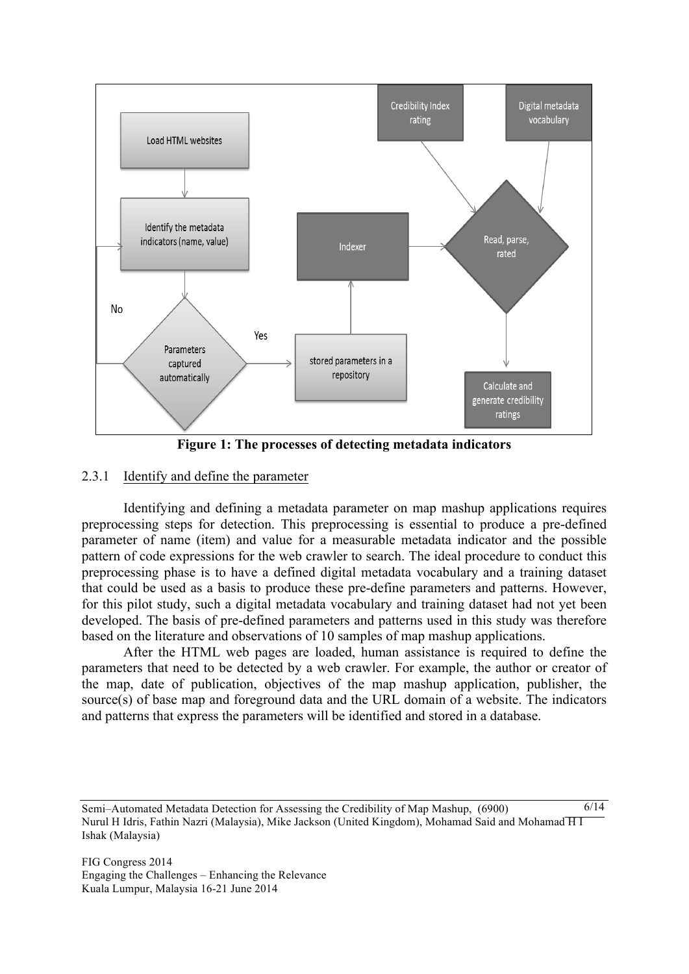

**Figure 1: The processes of detecting metadata indicators**

## 2.3.1 Identify and define the parameter

Identifying and defining a metadata parameter on map mashup applications requires preprocessing steps for detection. This preprocessing is essential to produce a pre-defined parameter of name (item) and value for a measurable metadata indicator and the possible pattern of code expressions for the web crawler to search. The ideal procedure to conduct this preprocessing phase is to have a defined digital metadata vocabulary and a training dataset that could be used as a basis to produce these pre-define parameters and patterns. However, for this pilot study, such a digital metadata vocabulary and training dataset had not yet been developed. The basis of pre-defined parameters and patterns used in this study was therefore based on the literature and observations of 10 samples of map mashup applications.

After the HTML web pages are loaded, human assistance is required to define the parameters that need to be detected by a web crawler. For example, the author or creator of the map, date of publication, objectives of the map mashup application, publisher, the source(s) of base map and foreground data and the URL domain of a website. The indicators and patterns that express the parameters will be identified and stored in a database.

Semi–Automated Metadata Detection for Assessing the Credibility of Map Mashup, (6900) Nurul H Idris, Fathin Nazri (Malaysia), Mike Jackson (United Kingdom), Mohamad Said and Mohamad H I Ishak (Malaysia)  $6/14$